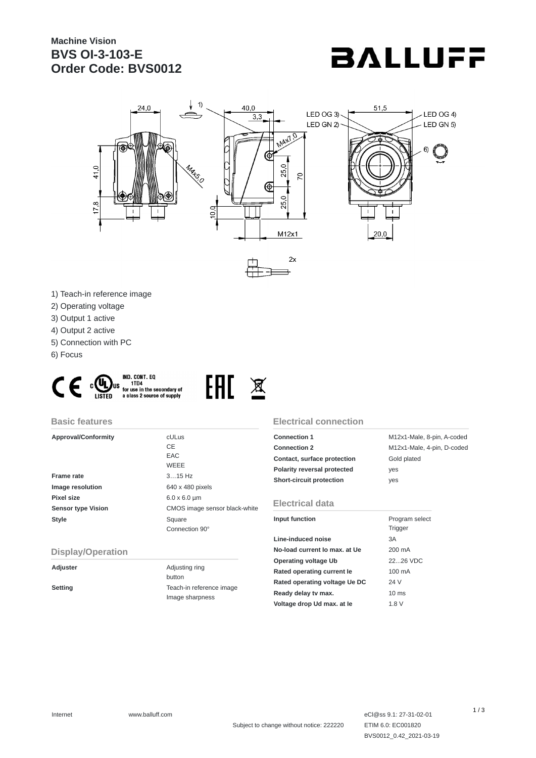# **Machine Vision BVS OI-3-103-E Order Code: BVS0012**





- 1) Teach-in reference image
- 2) Operating voltage
- 3) Output 1 active
- 4) Output 2 active
- 5) Connection with PC
- 6) Focus





#### **Basic features**

| <b>Approval/Conformity</b> | <b>cULus</b>                  |
|----------------------------|-------------------------------|
|                            | CE                            |
|                            | EAC                           |
|                            | <b>WEEE</b>                   |
| <b>Frame rate</b>          | $315$ Hz                      |
| Image resolution           | 640 x 480 pixels              |
| Pixel size                 | $6.0 \times 6.0 \mu m$        |
| <b>Sensor type Vision</b>  | CMOS image sensor black-white |
| <b>Style</b>               | Square                        |
|                            | Connection 90°                |

### **Electrical connection**

| <b>Connection 1</b>         | M12x1-Male, 8-pin, A-coded |
|-----------------------------|----------------------------|
| <b>Connection 2</b>         | M12x1-Male, 4-pin, D-coded |
| Contact, surface protection | Gold plated                |
| Polarity reversal protected | yes                        |
| Short-circuit protection    | ves                        |

### **Electrical data**

| Input function                | Program select  |  |
|-------------------------------|-----------------|--|
|                               | <b>Trigger</b>  |  |
| Line-induced noise            | 3A              |  |
| No-load current Io max, at Ue | 200 mA          |  |
| Operating voltage Ub          | 2226 VDC        |  |
| Rated operating current le    | 100 mA          |  |
| Rated operating voltage Ue DC | 24 V            |  |
| Ready delay tv max.           | $10 \text{ ms}$ |  |
| Voltage drop Ud max. at le    | 1.8 V           |  |

### **Display/Operation**

**Adjuster** Adjusting ring button **Setting** Teach-in reference image Image sharpness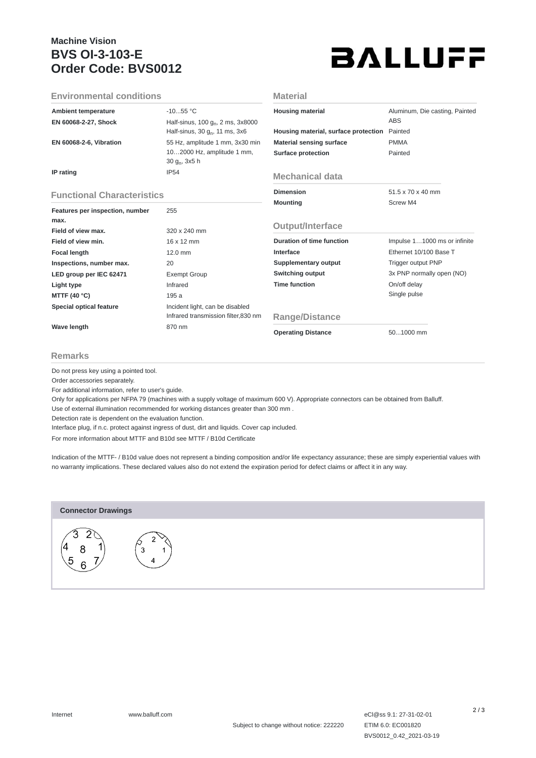# **Machine Vision BVS OI-3-103-E Order Code: BVS0012**



| <b>Environmental conditions</b>   |                                                | Material                             |                                |
|-----------------------------------|------------------------------------------------|--------------------------------------|--------------------------------|
| <b>Ambient temperature</b>        | $-1055$ °C                                     | <b>Housing material</b>              | Aluminum, Die casting, Painted |
| EN 60068-2-27, Shock              | Half-sinus, 100 g <sub>n</sub> , 2 ms, 3x8000  |                                      | <b>ABS</b>                     |
|                                   | Half-sinus, 30 $g_n$ , 11 ms, 3x6              | Housing material, surface protection | Painted                        |
| <b>EN 60068-2-6, Vibration</b>    | 55 Hz, amplitude 1 mm, 3x30 min                | <b>Material sensing surface</b>      | <b>PMMA</b>                    |
|                                   | 102000 Hz, amplitude 1 mm,<br>30 $g_n$ , 3x5 h | Surface protection                   | Painted                        |
| IP rating                         | <b>IP54</b>                                    | <b>Mechanical data</b>               |                                |
| <b>Functional Characteristics</b> |                                                | <b>Dimension</b>                     | $51.5 \times 70 \times 40$ mm  |
| Features per inspection, number   | 255                                            | <b>Mounting</b>                      | Screw M4                       |
| max.                              |                                                |                                      |                                |
| Field of view max.                | 320 x 240 mm                                   | Output/Interface                     |                                |
| Field of view min.                | 16 x 12 mm                                     | <b>Duration of time function</b>     | Impulse 11000 ms or infinite   |
| <b>Focal length</b>               | 12.0 mm                                        | Interface                            | Ethernet 10/100 Base T         |
| Inspections, number max.          | 20                                             | Supplementary output                 | Trigger output PNP             |
| LED group per IEC 62471           | <b>Exempt Group</b>                            | Switching output                     | 3x PNP normally open (NO)      |
| Light type                        | Infrared                                       | <b>Time function</b>                 | On/off delay                   |
| MTTF (40 $^{\circ}$ C)            | 195 a                                          |                                      | Single pulse                   |
| <b>Special optical feature</b>    | Incident light, can be disabled                |                                      |                                |
|                                   | Infrared transmission filter,830 nm            | Range/Distance                       |                                |
| <b>Wave length</b>                | 870 nm                                         | <b>Operating Distance</b>            | 501000 mm                      |

#### **Remarks**

Do not press key using a pointed tool.

Order accessories separately.

For additional information, refer to user's guide.

Only for applications per NFPA 79 (machines with a supply voltage of maximum 600 V). Appropriate connectors can be obtained from Balluff.

Use of external illumination recommended for working distances greater than 300 mm .

Detection rate is dependent on the evaluation function.

Interface plug, if n.c. protect against ingress of dust, dirt and liquids. Cover cap included.

For more information about MTTF and B10d see MTTF / B10d Certificate

Indication of the MTTF- / B10d value does not represent a binding composition and/or life expectancy assurance; these are simply experiential values with no warranty implications. These declared values also do not extend the expiration period for defect claims or affect it in any way.